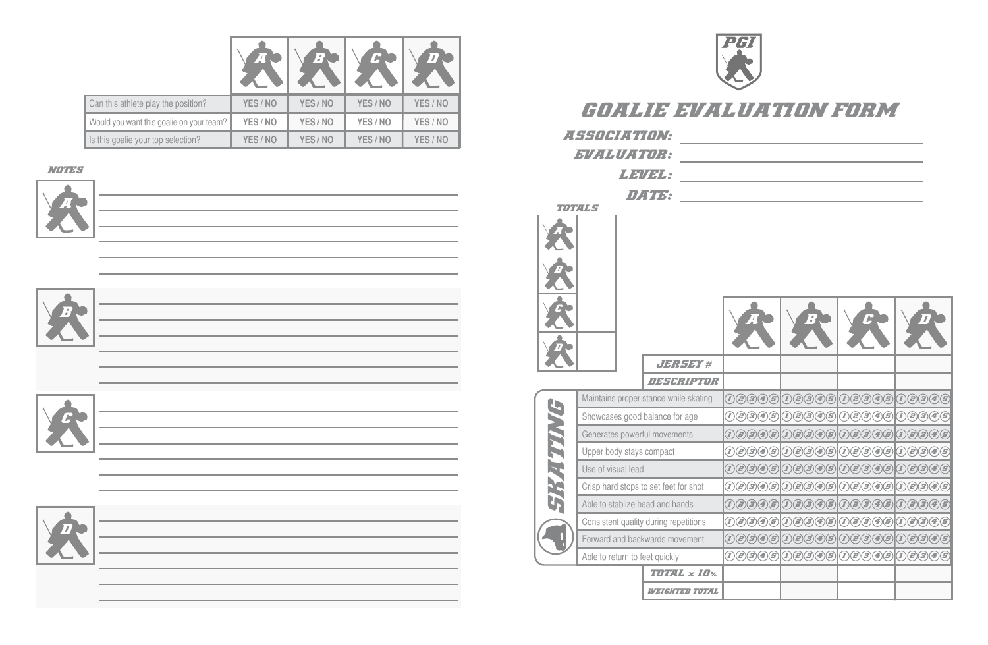



| 7月;另一                  |                                                                                                                                          |                                                                                                                                                                                      |                                                                                                                                                            |                                                                                                                                    |
|------------------------|------------------------------------------------------------------------------------------------------------------------------------------|--------------------------------------------------------------------------------------------------------------------------------------------------------------------------------------|------------------------------------------------------------------------------------------------------------------------------------------------------------|------------------------------------------------------------------------------------------------------------------------------------|
| n saban tina           |                                                                                                                                          |                                                                                                                                                                                      |                                                                                                                                                            |                                                                                                                                    |
| r stance while skating | $\left( \vec{I}\right)$<br>$(\bar{x})$<br>$(\bm{\varXi})$<br>$\left( \boldsymbol{4}\right)$                                              | $\left( \textcolor{red}{2}\right)$<br>$\bigcirc$<br>$\left( \mathcal{I}\right)$<br>$\left( \bm{\varXi}\right)$                                                                       | $\left( \mathcal{I}\right)$<br>$\bigcirc$<br>$\left( \textcolor{red}{\mathbf{\mathcal{Z}}}\right)$<br>$\left( \bm{\varXi}\right)$                          | $\left( \boldsymbol{\varXi}\right)$<br>$\hat{D}$<br>$\left( \textcolor{red}{\mathbf{\mathcal{Z}}}\right)$<br>$\bm{\left(B\right)}$ |
| d balance for age      | (2) (3) (4) (5)<br>$\left( \boldsymbol{I}\right)$                                                                                        |                                                                                                                                                                                      | 09945 09945 09995                                                                                                                                          |                                                                                                                                    |
| erful movements        | $\left( \overline{\mathbf{\mathcal{Z}}}\right)$<br>$\bigl(\boldsymbol{\epsilon}\bigr)(\boldsymbol{\epsilon})$<br>$(\boldsymbol{\varXi})$ | (2) (3) (4) (5)<br>$\widehat{\mathcal{D}}$                                                                                                                                           | $\bigcirc$<br>$\bigcirc$<br>$\left( \bm{\mathit{I}}\right)$                                                                                                | $\bigcirc$ $\bigcirc$<br>$\bigcirc$<br>$\left( \boldsymbol{\boldsymbol{I}}\right)$                                                 |
| s compact              | E)<br>B)<br>5<br>4                                                                                                                       | (2) 3) 4) 5)<br>$\left( \boldsymbol{I}\right)$                                                                                                                                       | $\left( \bm{\mathit{I}}\right)$<br>$\bigcircled{\!\!}$ $\bigcirc$<br>$\bigcircled{\hspace{-2pt}}\bullet\hspace{-2pt}\bigl(\mathfrak{s}\hspace{-2pt}\bigr)$ | $\bigcircled{\!\!}(\mathbf{3})$<br>$\bigcirc$<br>$\left( \boldsymbol{I}\right)$                                                    |
| ad                     | $\bf{\bf \widehat{5}}$<br>$\left( \nabla \right)$<br>$\cal G$<br>$\left( 4\right)$                                                       | (2)(3)(4)(5)<br>$\left( \boldsymbol{I}\right)$                                                                                                                                       | $\bigcircled{\hspace{-2pt}}\raisebox{2pt}{\scriptsize$\circ$}$<br>$\left( \bm{\mathit{I}}\right)$<br>$\mathbf{z}(\mathbf{z})$                              | $\bigcirc$<br>$\bigcircled{{\bf Z}}$<br>$\left( \boldsymbol{I}\right)$                                                             |
| s to set feet for shot | $\bigcirc$<br>3<br>æ)                                                                                                                    | $\bigcirc$ $\bigcirc$ $\bigcirc$<br>$\boldsymbol{I}$<br>$\left( \textcolor{red}{\bm{\varepsilon}} \right)$                                                                           | $\bigcirc \hspace{-0.6cm} \bigcirc \hspace{-0.6cm} f$<br>$\left( \boldsymbol{I}\right)$<br>æ)<br>3)                                                        | $\bigcircled{{\bf Z}}$<br>$\widehat{\mathcal{L}}$<br>$\left( 5\right)$<br>$\left( 4\right)$                                        |
| head and hands         | G)<br>$\left( \boldsymbol{I}\right)$<br>$\left( \textcolor{red}{\mathbf{\mathcal{Z}}}\right)$<br>3<br>$\left( \boldsymbol{4}\right)$     | e)<br>$\bigcirc$<br>$\left( \overline{\mathbf{\mathbf{z}}}\right)$<br>$\boldsymbol{I}$                                                                                               | $\left( \boldsymbol{I}\right)$<br>$\left( \widehat{e}\right)$<br>3)<br>5)<br>Œ,                                                                            | e)<br>3<br>$\bf \left( \bf 5 \right)$<br>$\left  I\right\rangle$<br>$\left( 4\right)$                                              |
| ty during repetitions  | $\bigcirc$<br>$\left( I\right)$<br>$(\bm{z})$ (3)                                                                                        | $\hat{D}$<br>$\left( \textcolor{red}{\bm{\varepsilon}} \right)$<br>$\bigcirc \!\!\! \bigcirc \!\!\! \bigcirc \!\!\! \bigcirc \!\!\! \bigcirc \!\!\! \bigcirc \!\!\! \bigcirc \!\!\!$ | $\left( \mathbf{I}\right)$<br>$\bigcircled{\!\!} (3)$<br>$\bigcirc$                                                                                        | $\bm{I}(\bm{Z})$ $\bm{B}$<br>$\bigcirc$                                                                                            |
| ckwards movement       | $(\bar{\bm{x}})$<br>$\cal (\bm{B})$<br>(5)<br>$\left( 4\right)$                                                                          | $\bigl(\boldsymbol{\epsilon}\bigr)(\boldsymbol{S})$<br>$\left( \boldsymbol{z}\right)$<br>$\left( \bm{\varXi}\right)$<br>$\mathbb{Z}$                                                 | $\cal G)$<br>$(\mathbf{I})$<br>$\left( \boldsymbol{\varXi}\right)$<br>$\left( \bm{\varXi}\right)$<br>$\left( 4\right)$                                     | $\bigcirc$<br>$\hat{\bm{l}}$<br>$\bm{\left(2\right)}\bm{\left(3\right)}$                                                           |
| feet quickly           | 00396                                                                                                                                    |                                                                                                                                                                                      | 100000000000                                                                                                                                               | 00996                                                                                                                              |
| TOTAL x 10%            |                                                                                                                                          |                                                                                                                                                                                      |                                                                                                                                                            |                                                                                                                                    |
|                        |                                                                                                                                          |                                                                                                                                                                                      |                                                                                                                                                            |                                                                                                                                    |









|                                          | 74       | $\sqrt{2}$ |          |          |
|------------------------------------------|----------|------------|----------|----------|
| Can this athlete play the position?      | YES / NO | YES / NO   | YES / NO | YES / NO |
| Would you want this goalie on your team? | YES / NO | YES / NO   | YES / NO | YES / NO |
| Is this goalie your top selection?       | YES / NO | YES / NO   | YES / NO | YES / NO |

the control of the control of the control of the control of the control of the control of the control of the control of the control of the control of the control of the control of the control of the control of the control

the control of the control of the control of the control of the control of the control of

## NOTES<sub>S</sub>